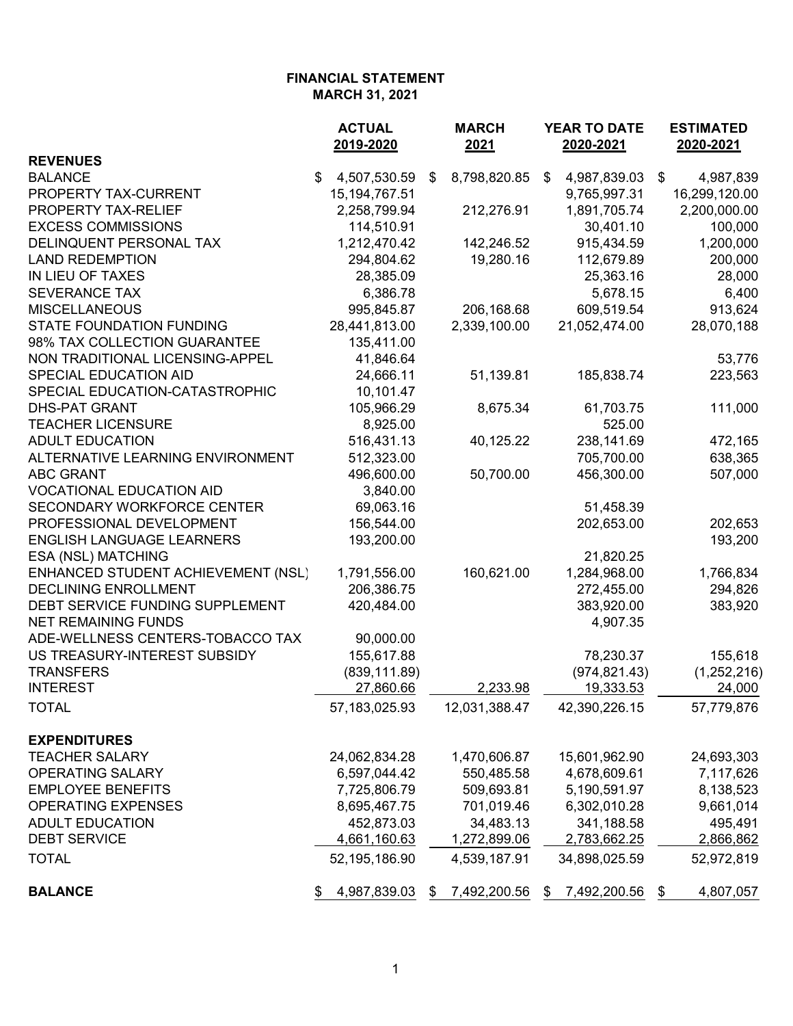|                                                                   | <b>ACTUAL</b><br>2019-2020 | <b>MARCH</b><br>2021 | YEAR TO DATE<br>2020-2021                 | <b>ESTIMATED</b><br>2020-2021 |
|-------------------------------------------------------------------|----------------------------|----------------------|-------------------------------------------|-------------------------------|
| <b>REVENUES</b>                                                   |                            |                      |                                           |                               |
| <b>BALANCE</b>                                                    | $\$\$<br>4,507,530.59      | 8,798,820.85<br>\$   | $\boldsymbol{\mathsf{S}}$<br>4,987,839.03 | $\$\$<br>4,987,839            |
| PROPERTY TAX-CURRENT                                              | 15, 194, 767. 51           |                      | 9,765,997.31                              | 16,299,120.00                 |
| PROPERTY TAX-RELIEF                                               | 2,258,799.94               | 212,276.91           | 1,891,705.74                              | 2,200,000.00                  |
| <b>EXCESS COMMISSIONS</b>                                         | 114,510.91                 |                      | 30,401.10                                 | 100,000                       |
| DELINQUENT PERSONAL TAX                                           | 1,212,470.42               | 142,246.52           | 915,434.59                                | 1,200,000                     |
| <b>LAND REDEMPTION</b>                                            | 294,804.62                 | 19,280.16            | 112,679.89                                | 200,000                       |
| IN LIEU OF TAXES                                                  | 28,385.09                  |                      | 25,363.16                                 | 28,000                        |
| <b>SEVERANCE TAX</b>                                              | 6,386.78                   |                      | 5,678.15                                  | 6,400                         |
| <b>MISCELLANEOUS</b>                                              | 995,845.87                 | 206,168.68           | 609,519.54                                | 913,624                       |
| <b>STATE FOUNDATION FUNDING</b>                                   | 28,441,813.00              | 2,339,100.00         | 21,052,474.00                             | 28,070,188                    |
| 98% TAX COLLECTION GUARANTEE                                      | 135,411.00                 |                      |                                           |                               |
| NON TRADITIONAL LICENSING-APPEL                                   | 41,846.64                  |                      |                                           | 53,776                        |
| SPECIAL EDUCATION AID                                             | 24,666.11                  | 51,139.81            | 185,838.74                                | 223,563                       |
| SPECIAL EDUCATION-CATASTROPHIC                                    | 10,101.47                  |                      |                                           |                               |
| <b>DHS-PAT GRANT</b>                                              | 105,966.29                 | 8,675.34             | 61,703.75                                 | 111,000                       |
| <b>TEACHER LICENSURE</b>                                          | 8,925.00                   |                      | 525.00                                    |                               |
| <b>ADULT EDUCATION</b>                                            | 516,431.13                 | 40,125.22            | 238,141.69                                | 472,165                       |
| ALTERNATIVE LEARNING ENVIRONMENT                                  | 512,323.00                 |                      | 705,700.00                                | 638,365                       |
| <b>ABC GRANT</b>                                                  | 496,600.00                 | 50,700.00            | 456,300.00                                | 507,000                       |
| <b>VOCATIONAL EDUCATION AID</b>                                   | 3,840.00                   |                      |                                           |                               |
| SECONDARY WORKFORCE CENTER                                        | 69,063.16                  |                      |                                           |                               |
| PROFESSIONAL DEVELOPMENT                                          | 156,544.00                 |                      | 51,458.39<br>202,653.00                   |                               |
| <b>ENGLISH LANGUAGE LEARNERS</b>                                  | 193,200.00                 |                      |                                           | 202,653<br>193,200            |
| ESA (NSL) MATCHING                                                |                            |                      | 21,820.25                                 |                               |
|                                                                   |                            | 160,621.00           | 1,284,968.00                              |                               |
| ENHANCED STUDENT ACHIEVEMENT (NSL)<br><b>DECLINING ENROLLMENT</b> | 1,791,556.00<br>206,386.75 |                      |                                           | 1,766,834                     |
| DEBT SERVICE FUNDING SUPPLEMENT                                   |                            |                      | 272,455.00                                | 294,826                       |
| <b>NET REMAINING FUNDS</b>                                        | 420,484.00                 |                      | 383,920.00                                | 383,920                       |
| ADE-WELLNESS CENTERS-TOBACCO TAX                                  |                            |                      | 4,907.35                                  |                               |
| US TREASURY-INTEREST SUBSIDY                                      | 90,000.00                  |                      |                                           |                               |
|                                                                   | 155,617.88                 |                      | 78,230.37                                 | 155,618                       |
| <b>TRANSFERS</b><br><b>INTEREST</b>                               | (839, 111.89)              |                      | (974, 821.43)<br>19,333.53                | (1, 252, 216)                 |
|                                                                   | 27,860.66                  | 2,233.98             |                                           | 24,000                        |
| TOTAL                                                             | 57, 183, 025. 93           | 12,031,388.47        | 42,390,226.15                             | 57,779,876                    |
| <b>EXPENDITURES</b>                                               |                            |                      |                                           |                               |
| <b>TEACHER SALARY</b>                                             | 24,062,834.28              | 1,470,606.87         | 15,601,962.90                             | 24,693,303                    |
| <b>OPERATING SALARY</b>                                           | 6,597,044.42               | 550,485.58           | 4,678,609.61                              | 7,117,626                     |
| <b>EMPLOYEE BENEFITS</b>                                          | 7,725,806.79               | 509,693.81           | 5,190,591.97                              | 8,138,523                     |
| <b>OPERATING EXPENSES</b>                                         | 8,695,467.75               | 701,019.46           | 6,302,010.28                              | 9,661,014                     |
| <b>ADULT EDUCATION</b>                                            | 452,873.03                 | 34,483.13            | 341,188.58                                | 495,491                       |
| <b>DEBT SERVICE</b>                                               | 4,661,160.63               | 1,272,899.06         | 2,783,662.25                              | 2,866,862                     |
| <b>TOTAL</b>                                                      | 52,195,186.90              | 4,539,187.91         | 34,898,025.59                             | 52,972,819                    |
|                                                                   |                            |                      |                                           |                               |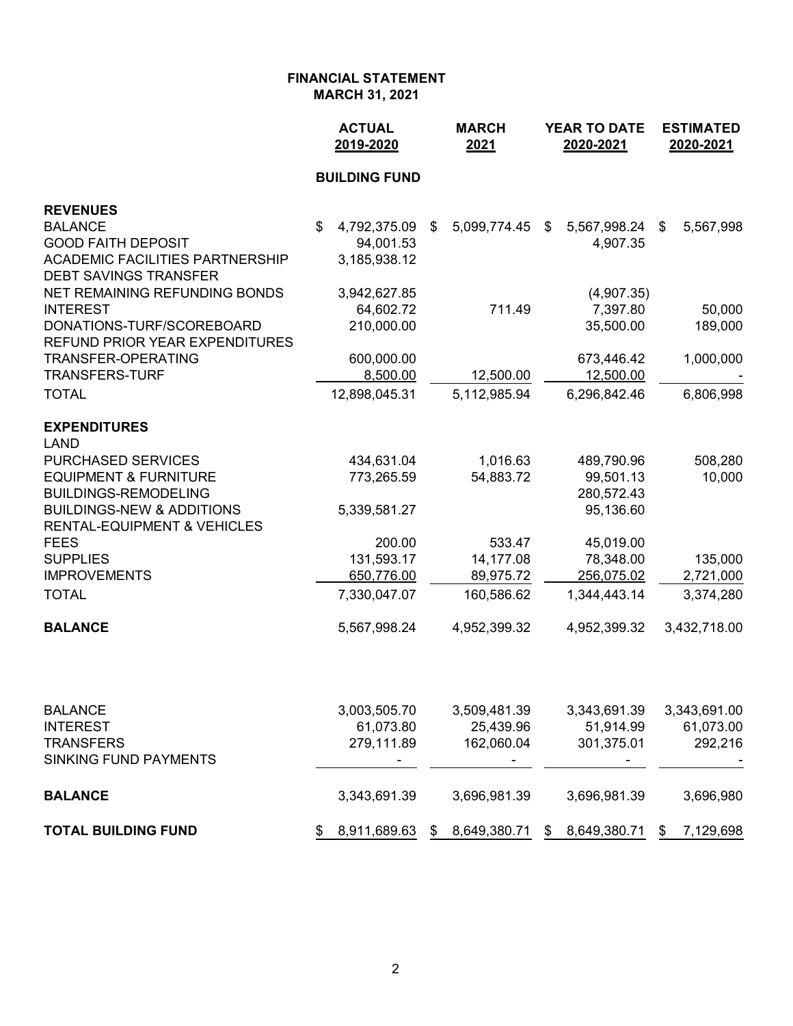|                                                                 | <b>ACTUAL</b><br>2019-2020 | <b>MARCH</b><br>2021 | <b>YEAR TO DATE</b><br>2020-2021 | <b>ESTIMATED</b><br>2020-2021 |  |
|-----------------------------------------------------------------|----------------------------|----------------------|----------------------------------|-------------------------------|--|
|                                                                 | <b>BUILDING FUND</b>       |                      |                                  |                               |  |
| <b>REVENUES</b>                                                 |                            |                      |                                  |                               |  |
| <b>BALANCE</b>                                                  | \$<br>4,792,375.09         | 5,099,774.45<br>\$   | 5,567,998.24<br>\$               | 5,567,998<br>\$               |  |
| <b>GOOD FAITH DEPOSIT</b>                                       | 94,001.53                  |                      | 4,907.35                         |                               |  |
| <b>ACADEMIC FACILITIES PARTNERSHIP</b>                          | 3,185,938.12               |                      |                                  |                               |  |
| <b>DEBT SAVINGS TRANSFER</b>                                    |                            |                      |                                  |                               |  |
| NET REMAINING REFUNDING BONDS                                   | 3,942,627.85               |                      | (4,907.35)                       |                               |  |
| <b>INTEREST</b>                                                 | 64,602.72                  | 711.49               | 7,397.80                         | 50,000                        |  |
| DONATIONS-TURF/SCOREBOARD                                       | 210,000.00                 |                      | 35,500.00                        | 189,000                       |  |
| <b>REFUND PRIOR YEAR EXPENDITURES</b>                           |                            |                      |                                  |                               |  |
| <b>TRANSFER-OPERATING</b>                                       | 600,000.00                 |                      | 673,446.42                       | 1,000,000                     |  |
| <b>TRANSFERS-TURF</b>                                           | 8,500.00                   | 12,500.00            | 12,500.00                        |                               |  |
| <b>TOTAL</b>                                                    | 12,898,045.31              | 5,112,985.94         | 6,296,842.46                     | 6,806,998                     |  |
| <b>EXPENDITURES</b>                                             |                            |                      |                                  |                               |  |
| <b>LAND</b>                                                     |                            |                      |                                  |                               |  |
| <b>PURCHASED SERVICES</b>                                       | 434,631.04                 | 1,016.63             | 489,790.96                       | 508,280                       |  |
| <b>EQUIPMENT &amp; FURNITURE</b><br><b>BUILDINGS-REMODELING</b> | 773,265.59                 | 54,883.72            | 99,501.13<br>280,572.43          | 10,000                        |  |
| <b>BUILDINGS-NEW &amp; ADDITIONS</b>                            | 5,339,581.27               |                      | 95,136.60                        |                               |  |
| <b>RENTAL-EQUIPMENT &amp; VEHICLES</b>                          |                            |                      |                                  |                               |  |
| <b>FEES</b>                                                     | 200.00                     | 533.47               | 45,019.00                        |                               |  |
| <b>SUPPLIES</b>                                                 | 131,593.17                 | 14,177.08            | 78,348.00                        | 135,000                       |  |
| <b>IMPROVEMENTS</b>                                             | 650,776.00                 | 89,975.72            | 256,075.02                       | 2,721,000                     |  |
| <b>TOTAL</b>                                                    | 7,330,047.07               | 160,586.62           | 1,344,443.14                     | 3,374,280                     |  |
| <b>BALANCE</b>                                                  | 5,567,998.24               | 4,952,399.32         | 4,952,399.32                     | 3,432,718.00                  |  |
|                                                                 |                            |                      |                                  |                               |  |
| <b>BALANCE</b>                                                  | 3,003,505.70               | 3,509,481.39         | 3,343,691.39                     | 3,343,691.00                  |  |
| <b>INTEREST</b>                                                 | 61,073.80                  | 25,439.96            | 51,914.99                        | 61,073.00                     |  |
| <b>TRANSFERS</b>                                                | 279,111.89                 | 162,060.04           | 301,375.01                       | 292,216                       |  |
| <b>SINKING FUND PAYMENTS</b>                                    |                            |                      |                                  |                               |  |
| <b>BALANCE</b>                                                  | 3,343,691.39               | 3,696,981.39         | 3,696,981.39                     | 3,696,980                     |  |
| <b>TOTAL BUILDING FUND</b>                                      | 8,911,689.63<br>\$         | 8,649,380.71<br>\$   | 8,649,380.71<br>S.               | 7,129,698<br>\$               |  |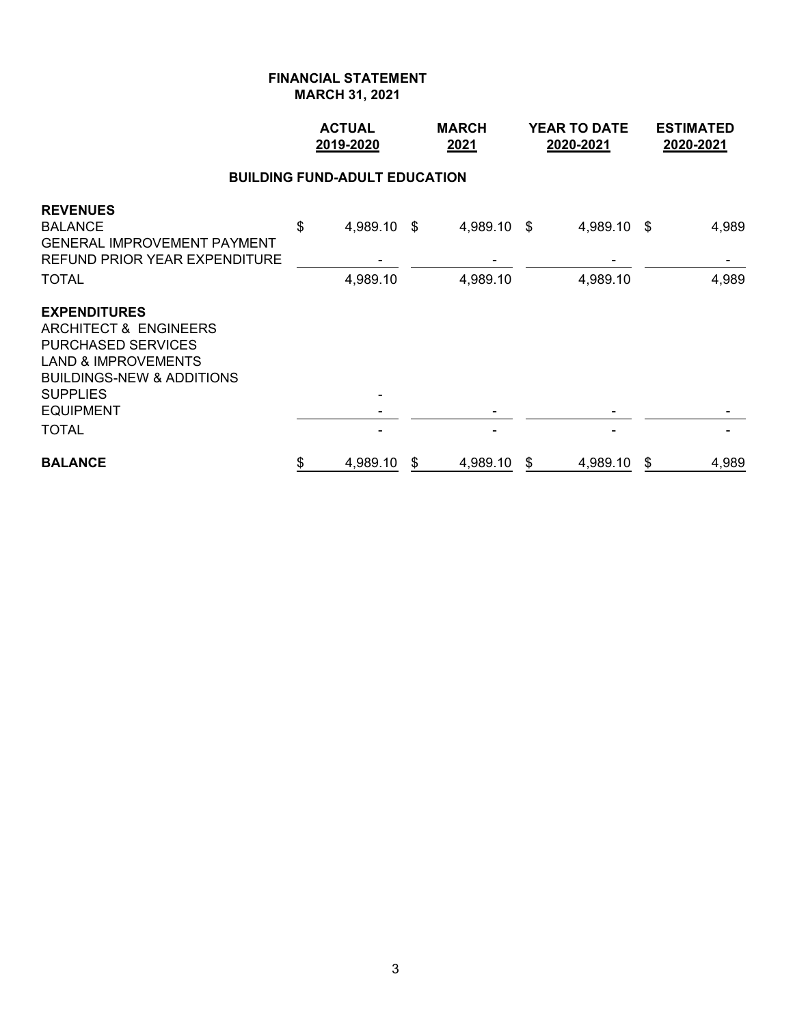|                                                                                                                                                                                                                       | <b>ACTUAL</b><br>2019-2020 |             |    | <b>MARCH</b><br>2021 |    | <b>YEAR TO DATE</b><br>2020-2021 | <b>ESTIMATED</b><br>2020-2021 |       |  |  |  |  |
|-----------------------------------------------------------------------------------------------------------------------------------------------------------------------------------------------------------------------|----------------------------|-------------|----|----------------------|----|----------------------------------|-------------------------------|-------|--|--|--|--|
| <b>BUILDING FUND-ADULT EDUCATION</b>                                                                                                                                                                                  |                            |             |    |                      |    |                                  |                               |       |  |  |  |  |
| <b>REVENUES</b><br><b>BALANCE</b><br><b>GENERAL IMPROVEMENT PAYMENT</b><br>REFUND PRIOR YEAR EXPENDITURE                                                                                                              | \$                         | 4,989.10 \$ |    | 4,989.10 \$          |    | 4,989.10 \$                      |                               | 4,989 |  |  |  |  |
| TOTAL                                                                                                                                                                                                                 |                            | 4,989.10    |    | 4,989.10             |    | 4,989.10                         |                               | 4,989 |  |  |  |  |
| <b>EXPENDITURES</b><br><b>ARCHITECT &amp; ENGINEERS</b><br><b>PURCHASED SERVICES</b><br><b>LAND &amp; IMPROVEMENTS</b><br><b>BUILDINGS-NEW &amp; ADDITIONS</b><br><b>SUPPLIES</b><br><b>EQUIPMENT</b><br><b>TOTAL</b> |                            |             |    |                      |    |                                  |                               |       |  |  |  |  |
| <b>BALANCE</b>                                                                                                                                                                                                        | \$                         | 4,989.10    | \$ | 4,989.10             | \$ | 4,989.10                         | \$                            | 4,989 |  |  |  |  |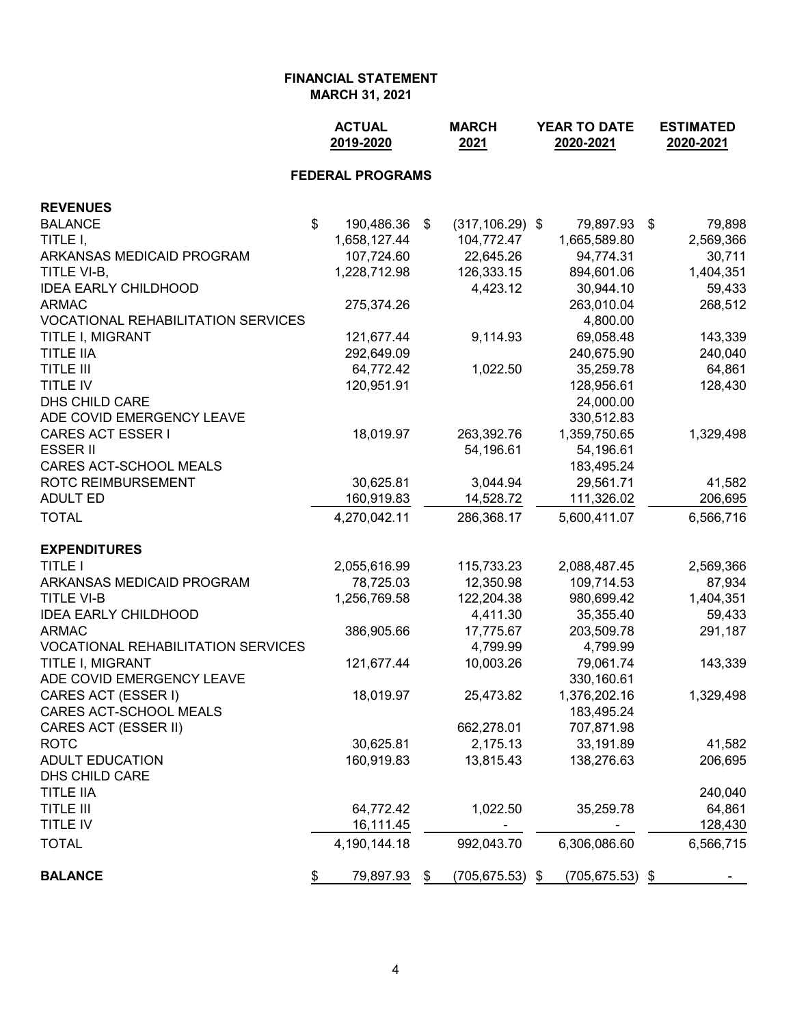|                                           | <b>ACTUAL</b><br>2019-2020 |    | <b>MARCH</b><br>2021 |    | <b>YEAR TO DATE</b><br>2020-2021 | <b>ESTIMATED</b><br>2020-2021 |           |  |
|-------------------------------------------|----------------------------|----|----------------------|----|----------------------------------|-------------------------------|-----------|--|
|                                           | <b>FEDERAL PROGRAMS</b>    |    |                      |    |                                  |                               |           |  |
| <b>REVENUES</b>                           |                            |    |                      |    |                                  |                               |           |  |
| <b>BALANCE</b>                            | \$<br>190,486.36           | \$ | $(317, 106.29)$ \$   |    | 79,897.93                        | \$                            | 79,898    |  |
| TITLE I,                                  | 1,658,127.44               |    | 104,772.47           |    | 1,665,589.80                     |                               | 2,569,366 |  |
| ARKANSAS MEDICAID PROGRAM                 | 107,724.60                 |    | 22,645.26            |    | 94,774.31                        |                               | 30,711    |  |
| TITLE VI-B,                               | 1,228,712.98               |    | 126,333.15           |    | 894,601.06                       |                               | 1,404,351 |  |
| <b>IDEA EARLY CHILDHOOD</b>               |                            |    | 4,423.12             |    | 30,944.10                        |                               | 59,433    |  |
| <b>ARMAC</b>                              | 275,374.26                 |    |                      |    | 263,010.04                       |                               | 268,512   |  |
| <b>VOCATIONAL REHABILITATION SERVICES</b> |                            |    |                      |    | 4,800.00                         |                               |           |  |
| TITLE I, MIGRANT                          | 121,677.44                 |    | 9,114.93             |    | 69,058.48                        |                               | 143,339   |  |
| <b>TITLE IIA</b>                          | 292,649.09                 |    |                      |    | 240,675.90                       |                               | 240,040   |  |
| <b>TITLE III</b>                          | 64,772.42                  |    | 1,022.50             |    | 35,259.78                        |                               | 64,861    |  |
| TITLE IV                                  | 120,951.91                 |    |                      |    | 128,956.61                       |                               | 128,430   |  |
| DHS CHILD CARE                            |                            |    |                      |    | 24,000.00                        |                               |           |  |
| ADE COVID EMERGENCY LEAVE                 |                            |    |                      |    | 330,512.83                       |                               |           |  |
| <b>CARES ACT ESSER I</b>                  | 18,019.97                  |    | 263,392.76           |    | 1,359,750.65                     |                               | 1,329,498 |  |
| <b>ESSER II</b>                           |                            |    | 54,196.61            |    | 54,196.61                        |                               |           |  |
| CARES ACT-SCHOOL MEALS                    |                            |    |                      |    | 183,495.24                       |                               |           |  |
| ROTC REIMBURSEMENT                        | 30,625.81                  |    | 3,044.94             |    | 29,561.71                        |                               | 41,582    |  |
| <b>ADULT ED</b>                           | 160,919.83                 |    | 14,528.72            |    | 111,326.02                       |                               | 206,695   |  |
| <b>TOTAL</b>                              | 4,270,042.11               |    | 286,368.17           |    | 5,600,411.07                     |                               | 6,566,716 |  |
| <b>EXPENDITURES</b>                       |                            |    |                      |    |                                  |                               |           |  |
| <b>TITLE I</b>                            | 2,055,616.99               |    | 115,733.23           |    | 2,088,487.45                     |                               | 2,569,366 |  |
| ARKANSAS MEDICAID PROGRAM                 | 78,725.03                  |    | 12,350.98            |    | 109,714.53                       |                               | 87,934    |  |
| <b>TITLE VI-B</b>                         | 1,256,769.58               |    | 122,204.38           |    | 980,699.42                       |                               | 1,404,351 |  |
| <b>IDEA EARLY CHILDHOOD</b>               |                            |    | 4,411.30             |    | 35,355.40                        |                               | 59,433    |  |
| <b>ARMAC</b>                              | 386,905.66                 |    | 17,775.67            |    | 203,509.78                       |                               | 291,187   |  |
| <b>VOCATIONAL REHABILITATION SERVICES</b> |                            |    | 4,799.99             |    | 4,799.99                         |                               |           |  |
| TITLE I, MIGRANT                          | 121,677.44                 |    | 10,003.26            |    | 79,061.74                        |                               | 143,339   |  |
| ADE COVID EMERGENCY LEAVE                 |                            |    |                      |    | 330,160.61                       |                               |           |  |
| CARES ACT (ESSER I)                       | 18,019.97                  |    | 25,473.82            |    | 1,376,202.16                     |                               | 1,329,498 |  |
| CARES ACT-SCHOOL MEALS                    |                            |    |                      |    | 183,495.24                       |                               |           |  |
| CARES ACT (ESSER II)                      |                            |    | 662,278.01           |    | 707,871.98                       |                               |           |  |
| <b>ROTC</b>                               | 30,625.81                  |    | 2,175.13             |    | 33,191.89                        |                               | 41,582    |  |
| <b>ADULT EDUCATION</b>                    | 160,919.83                 |    | 13,815.43            |    | 138,276.63                       |                               | 206,695   |  |
| <b>DHS CHILD CARE</b>                     |                            |    |                      |    |                                  |                               |           |  |
| <b>TITLE IIA</b>                          |                            |    |                      |    |                                  |                               | 240,040   |  |
| TITLE III                                 | 64,772.42                  |    | 1,022.50             |    | 35,259.78                        |                               | 64,861    |  |
| TITLE IV                                  | 16,111.45                  |    |                      |    |                                  |                               | 128,430   |  |
| <b>TOTAL</b>                              | 4,190,144.18               |    | 992,043.70           |    | 6,306,086.60                     |                               | 6,566,715 |  |
| <b>BALANCE</b>                            | \$<br>79,897.93            | \$ | (705, 675.53)        | \$ | $(705, 675.53)$ \$               |                               |           |  |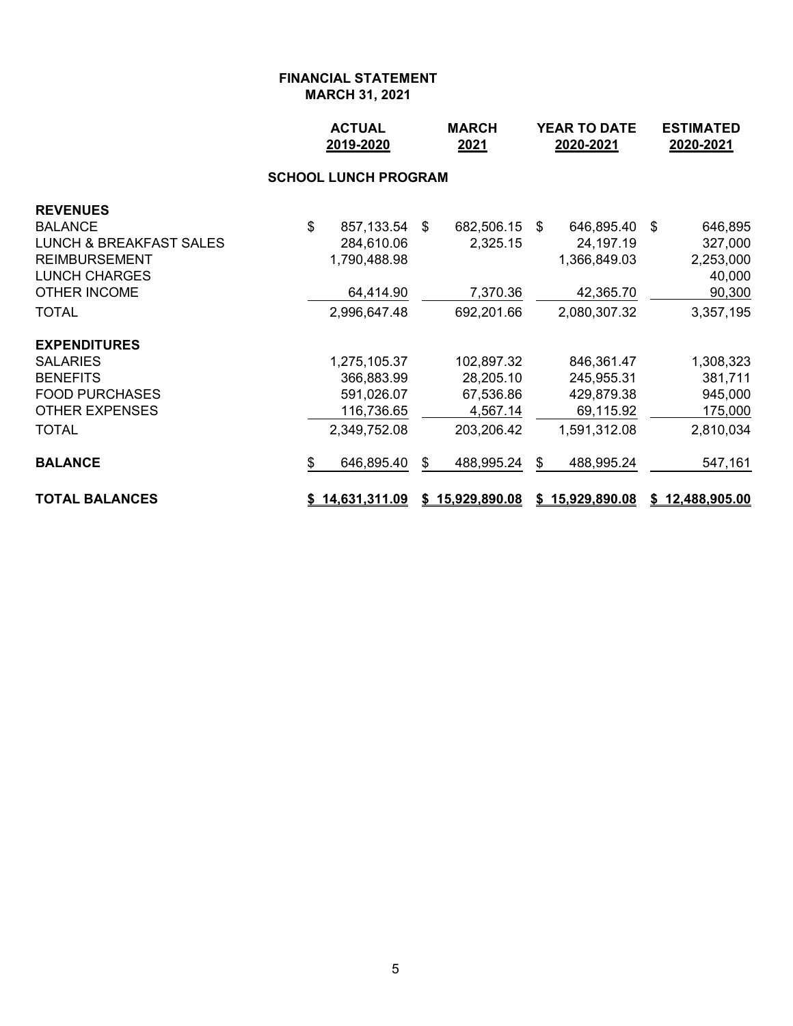|                                    | <b>ACTUAL</b><br><b>MARCH</b><br>2019-2020<br>2021 |   | <b>YEAR TO DATE</b><br>2020-2021 |    |                 | <b>ESTIMATED</b><br>2020-2021 |                 |  |
|------------------------------------|----------------------------------------------------|---|----------------------------------|----|-----------------|-------------------------------|-----------------|--|
|                                    |                                                    |   |                                  |    |                 |                               |                 |  |
| <b>REVENUES</b>                    |                                                    |   |                                  |    |                 |                               |                 |  |
| <b>BALANCE</b>                     | \$<br>857,133.54 \$                                |   | 682,506.15 \$                    |    | 646,895.40 \$   |                               | 646,895         |  |
| <b>LUNCH &amp; BREAKFAST SALES</b> | 284,610.06                                         |   | 2,325.15                         |    | 24,197.19       |                               | 327,000         |  |
| <b>REIMBURSEMENT</b>               | 1,790,488.98                                       |   |                                  |    | 1,366,849.03    |                               | 2,253,000       |  |
| <b>LUNCH CHARGES</b>               |                                                    |   |                                  |    |                 |                               | 40,000          |  |
| <b>OTHER INCOME</b>                | 64,414.90                                          |   | 7,370.36                         |    | 42,365.70       |                               | 90,300          |  |
| <b>TOTAL</b>                       | 2,996,647.48                                       |   | 692,201.66                       |    | 2,080,307.32    |                               | 3,357,195       |  |
| <b>EXPENDITURES</b>                |                                                    |   |                                  |    |                 |                               |                 |  |
| <b>SALARIES</b>                    | 1,275,105.37                                       |   | 102,897.32                       |    | 846,361.47      |                               | 1,308,323       |  |
| <b>BENEFITS</b>                    | 366,883.99                                         |   | 28,205.10                        |    | 245,955.31      |                               | 381,711         |  |
| <b>FOOD PURCHASES</b>              | 591,026.07                                         |   | 67,536.86                        |    | 429,879.38      |                               | 945,000         |  |
| <b>OTHER EXPENSES</b>              | 116,736.65                                         |   | 4,567.14                         |    | 69,115.92       |                               | 175,000         |  |
| <b>TOTAL</b>                       | 2,349,752.08                                       |   | 203,206.42                       |    | 1,591,312.08    |                               | 2,810,034       |  |
| <b>BALANCE</b>                     | \$<br>646,895.40                                   | S | 488,995.24                       | S. | 488,995.24      |                               | 547,161         |  |
| <b>TOTAL BALANCES</b>              | \$14,631,311.09                                    |   | \$15,929,890.08                  |    | \$15,929,890.08 |                               | \$12,488,905.00 |  |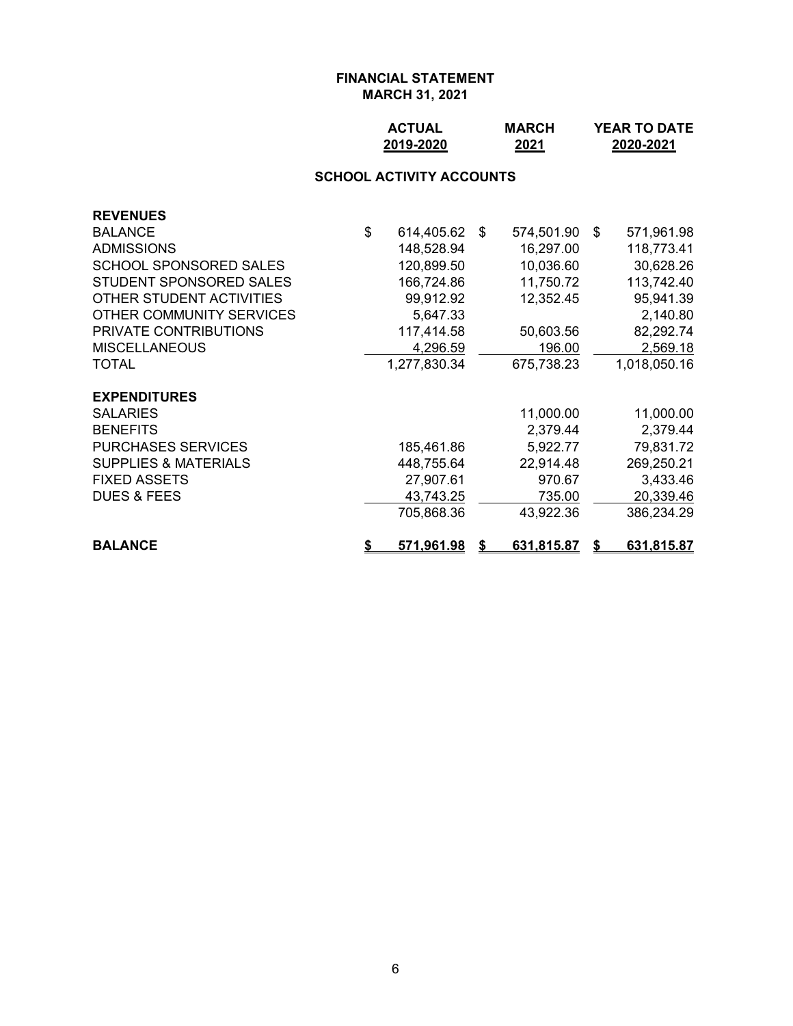## **ACTUAL MARCH YEAR TO DATE 2019-2020 2021 2020-2021**

#### **SCHOOL ACTIVITY ACCOUNTS**

| <b>BALANCE</b>                         | 571,961.98          | S. | 631,815.87 | S  | 631,815.87   |
|----------------------------------------|---------------------|----|------------|----|--------------|
|                                        | 705,868.36          |    | 43,922.36  |    | 386,234.29   |
| <b>DUES &amp; FEES</b>                 | 43,743.25           |    | 735.00     |    | 20,339.46    |
| <b>FIXED ASSETS</b>                    | 27,907.61           |    | 970.67     |    | 3,433.46     |
| <b>SUPPLIES &amp; MATERIALS</b>        | 448,755.64          |    | 22,914.48  |    | 269,250.21   |
| <b>PURCHASES SERVICES</b>              | 185,461.86          |    | 5,922.77   |    | 79,831.72    |
| <b>BENEFITS</b>                        |                     |    | 2,379.44   |    | 2,379.44     |
| <b>EXPENDITURES</b><br><b>SALARIES</b> |                     |    | 11,000.00  |    | 11,000.00    |
| <b>TOTAL</b>                           | 1,277,830.34        |    | 675,738.23 |    | 1,018,050.16 |
| <b>MISCELLANEOUS</b>                   | 4,296.59            |    | 196.00     |    | 2,569.18     |
| PRIVATE CONTRIBUTIONS                  | 117,414.58          |    | 50,603.56  |    | 82,292.74    |
| OTHER COMMUNITY SERVICES               | 5,647.33            |    |            |    | 2,140.80     |
| OTHER STUDENT ACTIVITIES               | 99,912.92           |    | 12,352.45  |    | 95,941.39    |
| STUDENT SPONSORED SALES                | 166,724.86          |    | 11,750.72  |    | 113,742.40   |
| <b>SCHOOL SPONSORED SALES</b>          | 120,899.50          |    | 10,036.60  |    | 30,628.26    |
| <b>ADMISSIONS</b>                      | 148,528.94          |    | 16,297.00  |    | 118,773.41   |
| <b>BALANCE</b>                         | \$<br>614,405.62 \$ |    | 574,501.90 | -S | 571,961.98   |
| <b>REVENUES</b>                        |                     |    |            |    |              |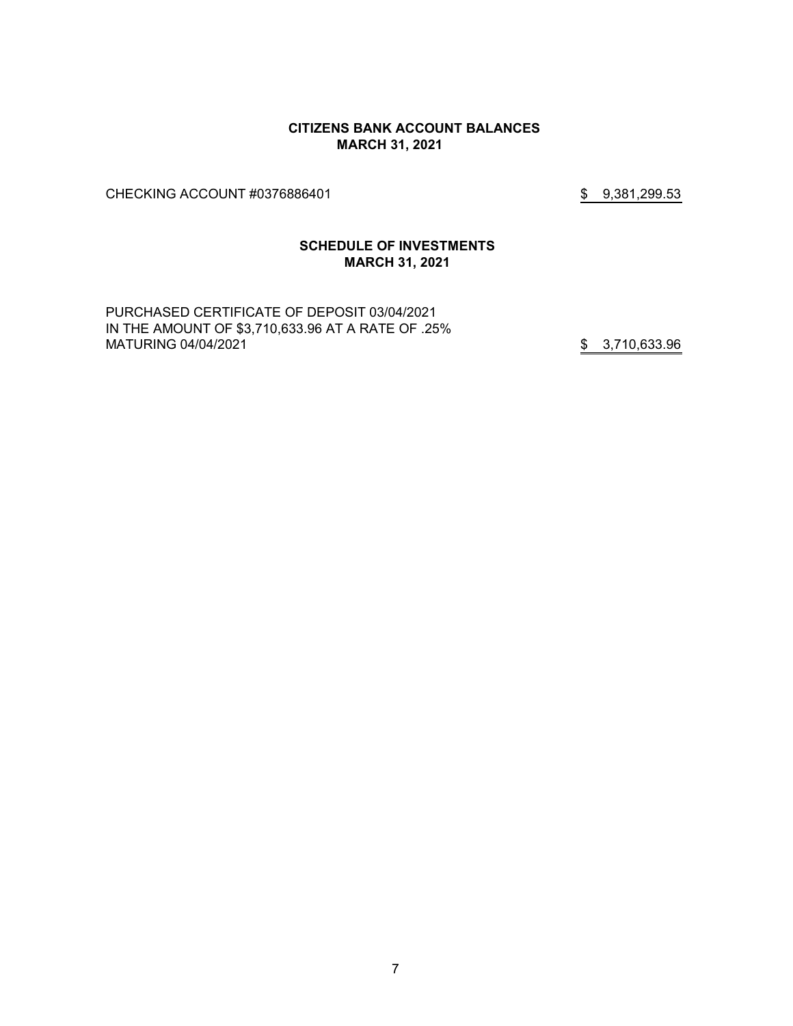#### **CITIZENS BANK ACCOUNT BALANCES MARCH 31, 2021**

CHECKING ACCOUNT #0376886401 \$ 9,381,299.53

## **SCHEDULE OF INVESTMENTS MARCH 31, 2021**

PURCHASED CERTIFICATE OF DEPOSIT 03/04/2021 IN THE AMOUNT OF \$3,710,633.96 AT A RATE OF .25% MATURING 04/04/2021 **\$** 3,710,633.96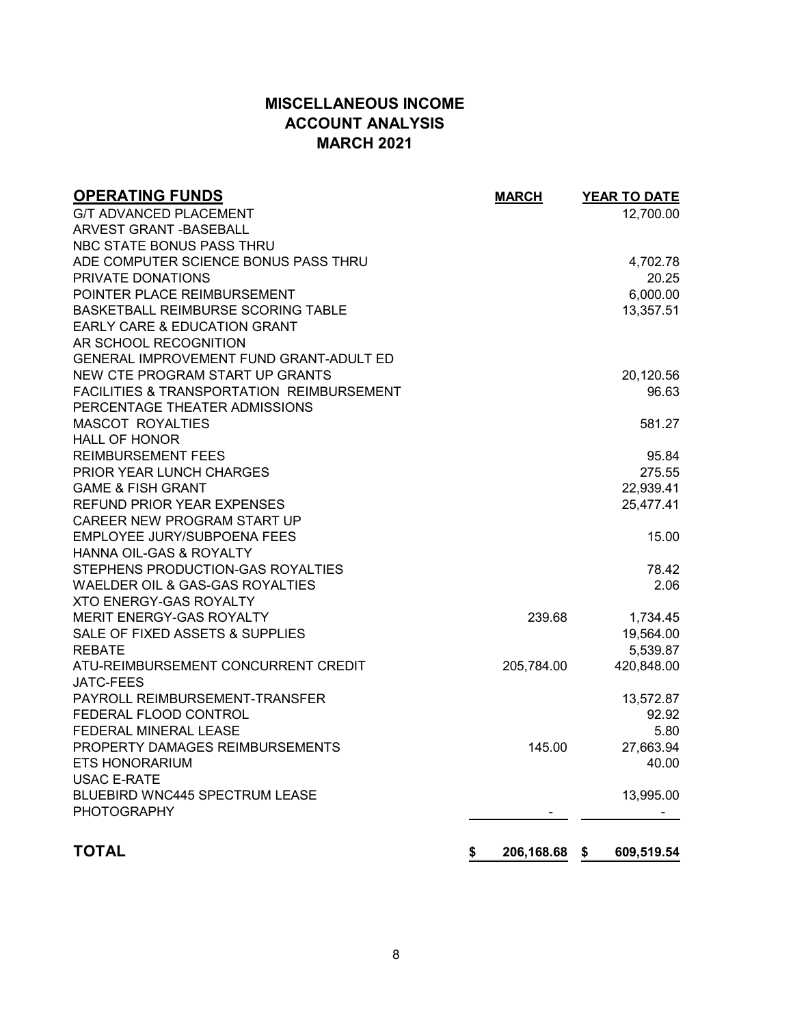# **MISCELLANEOUS INCOME ACCOUNT ANALYSIS MARCH 2021**

| <b>OPERATING FUNDS</b>                               | <b>MARCH</b>     | <b>YEAR TO DATE</b> |
|------------------------------------------------------|------------------|---------------------|
| <b>G/T ADVANCED PLACEMENT</b>                        |                  | 12,700.00           |
| <b>ARVEST GRANT - BASEBALL</b>                       |                  |                     |
| NBC STATE BONUS PASS THRU                            |                  |                     |
| ADE COMPUTER SCIENCE BONUS PASS THRU                 |                  | 4,702.78            |
| PRIVATE DONATIONS                                    |                  | 20.25               |
| POINTER PLACE REIMBURSEMENT                          |                  | 6,000.00            |
| BASKETBALL REIMBURSE SCORING TABLE                   |                  | 13,357.51           |
| EARLY CARE & EDUCATION GRANT                         |                  |                     |
| AR SCHOOL RECOGNITION                                |                  |                     |
| GENERAL IMPROVEMENT FUND GRANT-ADULT ED              |                  |                     |
| NEW CTE PROGRAM START UP GRANTS                      |                  | 20,120.56           |
| <b>FACILITIES &amp; TRANSPORTATION REIMBURSEMENT</b> |                  | 96.63               |
| PERCENTAGE THEATER ADMISSIONS                        |                  |                     |
| <b>MASCOT ROYALTIES</b>                              |                  | 581.27              |
| <b>HALL OF HONOR</b>                                 |                  |                     |
| <b>REIMBURSEMENT FEES</b>                            |                  | 95.84               |
| <b>PRIOR YEAR LUNCH CHARGES</b>                      |                  | 275.55              |
| <b>GAME &amp; FISH GRANT</b>                         |                  | 22,939.41           |
| <b>REFUND PRIOR YEAR EXPENSES</b>                    |                  | 25,477.41           |
| CAREER NEW PROGRAM START UP                          |                  |                     |
| <b>EMPLOYEE JURY/SUBPOENA FEES</b>                   |                  | 15.00               |
| HANNA OIL-GAS & ROYALTY                              |                  |                     |
| STEPHENS PRODUCTION-GAS ROYALTIES                    |                  | 78.42               |
| <b>WAELDER OIL &amp; GAS-GAS ROYALTIES</b>           |                  | 2.06                |
| <b>XTO ENERGY-GAS ROYALTY</b>                        |                  |                     |
| MERIT ENERGY-GAS ROYALTY                             | 239.68           | 1,734.45            |
| SALE OF FIXED ASSETS & SUPPLIES                      |                  | 19,564.00           |
| <b>REBATE</b>                                        |                  | 5,539.87            |
| ATU-REIMBURSEMENT CONCURRENT CREDIT                  | 205,784.00       | 420,848.00          |
| JATC-FEES                                            |                  |                     |
| PAYROLL REIMBURSEMENT-TRANSFER                       |                  | 13,572.87           |
| FEDERAL FLOOD CONTROL                                |                  | 92.92               |
| FEDERAL MINERAL LEASE                                |                  | 5.80                |
| PROPERTY DAMAGES REIMBURSEMENTS                      | 145.00           | 27,663.94           |
| <b>ETS HONORARIUM</b>                                |                  | 40.00               |
| <b>USAC E-RATE</b>                                   |                  |                     |
| BLUEBIRD WNC445 SPECTRUM LEASE                       |                  | 13,995.00           |
| <b>PHOTOGRAPHY</b>                                   |                  |                     |
|                                                      |                  |                     |
| <b>TOTAL</b>                                         | 206,168.68<br>\$ | \$<br>609,519.54    |